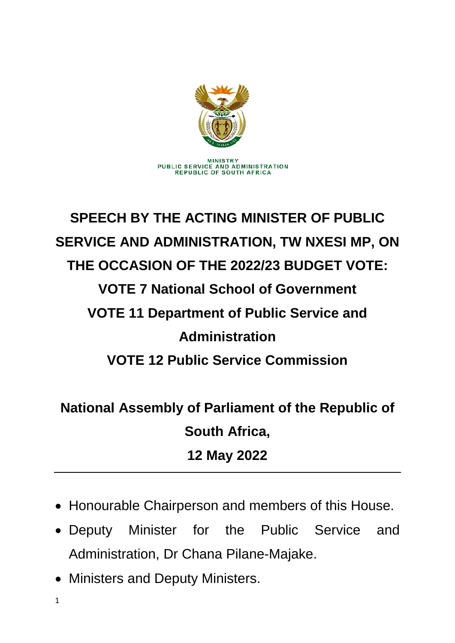

## **SPEECH BY THE ACTING MINISTER OF PUBLIC SERVICE AND ADMINISTRATION, TW NXESI MP, ON THE OCCASION OF THE 2022/23 BUDGET VOTE: VOTE 7 National School of Government VOTE 11 Department of Public Service and Administration VOTE 12 Public Service Commission**

## **National Assembly of Parliament of the Republic of South Africa, 12 May 2022**

- Honourable Chairperson and members of this House.
- Deputy Minister for the Public Service and Administration, Dr Chana Pilane-Majake.
- Ministers and Deputy Ministers.

1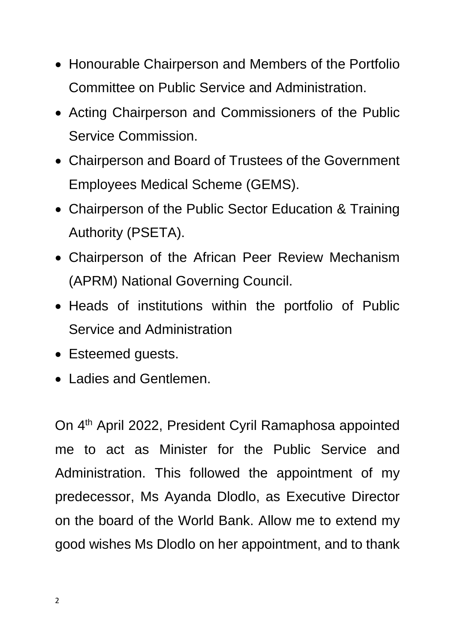- Honourable Chairperson and Members of the Portfolio Committee on Public Service and Administration.
- Acting Chairperson and Commissioners of the Public Service Commission.
- Chairperson and Board of Trustees of the Government Employees Medical Scheme (GEMS).
- Chairperson of the Public Sector Education & Training Authority (PSETA).
- Chairperson of the African Peer Review Mechanism (APRM) National Governing Council.
- Heads of institutions within the portfolio of Public Service and Administration
- Esteemed guests.
- Ladies and Gentlemen.

On 4<sup>th</sup> April 2022, President Cyril Ramaphosa appointed me to act as Minister for the Public Service and Administration. This followed the appointment of my predecessor, Ms Ayanda Dlodlo, as Executive Director on the board of the World Bank. Allow me to extend my good wishes Ms Dlodlo on her appointment, and to thank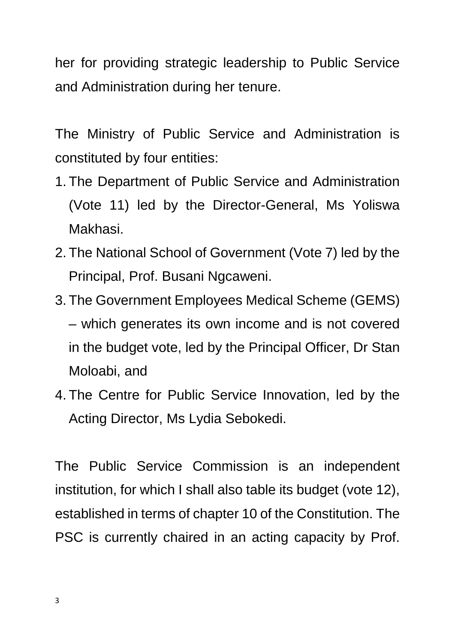her for providing strategic leadership to Public Service and Administration during her tenure.

The Ministry of Public Service and Administration is constituted by four entities:

- 1. The Department of Public Service and Administration (Vote 11) led by the Director-General, Ms Yoliswa Makhasi.
- 2. The National School of Government (Vote 7) led by the Principal, Prof. Busani Ngcaweni.
- 3. The Government Employees Medical Scheme (GEMS) – which generates its own income and is not covered in the budget vote, led by the Principal Officer, Dr Stan Moloabi, and
- 4. The Centre for Public Service Innovation, led by the Acting Director, Ms Lydia Sebokedi.

The Public Service Commission is an independent institution, for which I shall also table its budget (vote 12), established in terms of chapter 10 of the Constitution. The PSC is currently chaired in an acting capacity by Prof.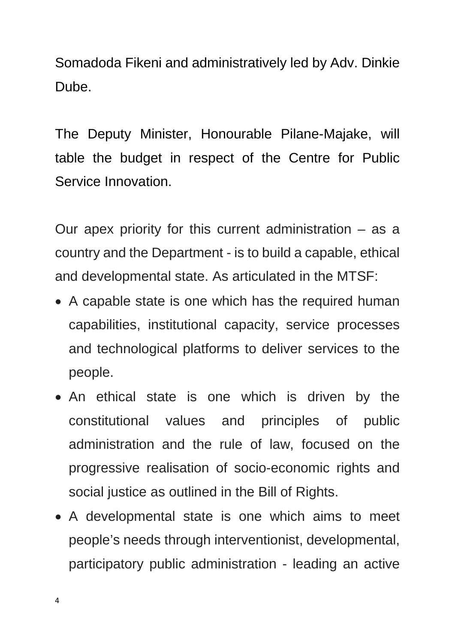Somadoda Fikeni and administratively led by Adv. Dinkie Dube.

The Deputy Minister, Honourable Pilane-Majake, will table the budget in respect of the Centre for Public Service Innovation.

Our apex priority for this current administration  $-$  as a country and the Department - is to build a capable, ethical and developmental state. As articulated in the MTSF:

- A capable state is one which has the required human capabilities, institutional capacity, service processes and technological platforms to deliver services to the people.
- An ethical state is one which is driven by the constitutional values and principles of public administration and the rule of law, focused on the progressive realisation of socio-economic rights and social justice as outlined in the Bill of Rights.
- A developmental state is one which aims to meet people's needs through interventionist, developmental, participatory public administration - leading an active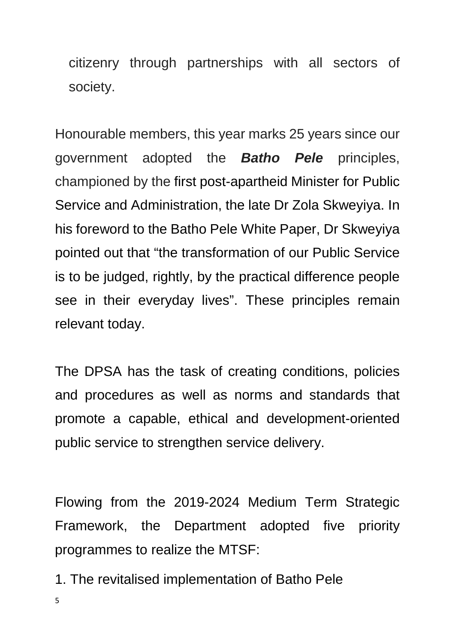citizenry through partnerships with all sectors of society.

Honourable members, this year marks 25 years since our government adopted the *Batho Pele* principles, championed by the first post-apartheid Minister for Public Service and Administration, the late Dr Zola Skweyiya. In his foreword to the Batho Pele White Paper, Dr Skweyiya pointed out that "the transformation of our Public Service is to be judged, rightly, by the practical difference people see in their everyday lives". These principles remain relevant today.

The DPSA has the task of creating conditions, policies and procedures as well as norms and standards that promote a capable, ethical and development-oriented public service to strengthen service delivery.

Flowing from the 2019-2024 Medium Term Strategic Framework, the Department adopted five priority programmes to realize the MTSF:

- 1. The revitalised implementation of Batho Pele
- 5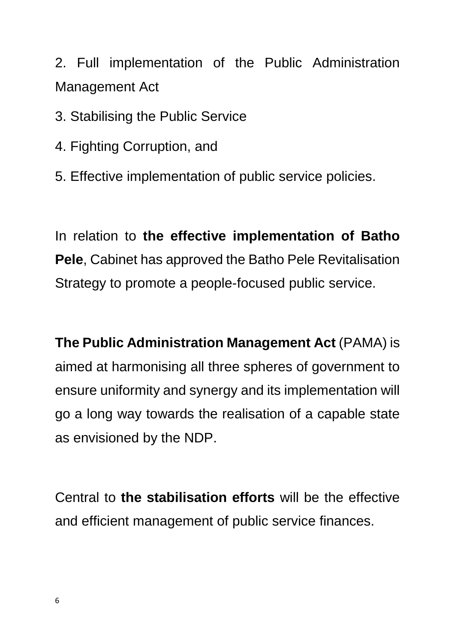2. Full implementation of the Public Administration Management Act

3. Stabilising the Public Service

- 4. Fighting Corruption, and
- 5. Effective implementation of public service policies.

In relation to **the effective implementation of Batho Pele**, Cabinet has approved the Batho Pele Revitalisation Strategy to promote a people-focused public service.

**The Public Administration Management Act** (PAMA) is aimed at harmonising all three spheres of government to ensure uniformity and synergy and its implementation will go a long way towards the realisation of a capable state as envisioned by the NDP.

Central to **the stabilisation efforts** will be the effective and efficient management of public service finances.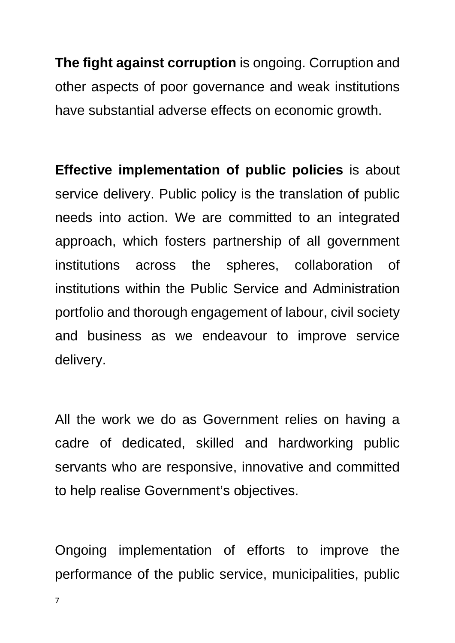**The fight against corruption** is ongoing. Corruption and other aspects of poor governance and weak institutions have substantial adverse effects on economic growth.

**Effective implementation of public policies** is about service delivery. Public policy is the translation of public needs into action. We are committed to an integrated approach, which fosters partnership of all government institutions across the spheres, collaboration of institutions within the Public Service and Administration portfolio and thorough engagement of labour, civil society and business as we endeavour to improve service delivery.

All the work we do as Government relies on having a cadre of dedicated, skilled and hardworking public servants who are responsive, innovative and committed to help realise Government's objectives.

Ongoing implementation of efforts to improve the performance of the public service, municipalities, public

7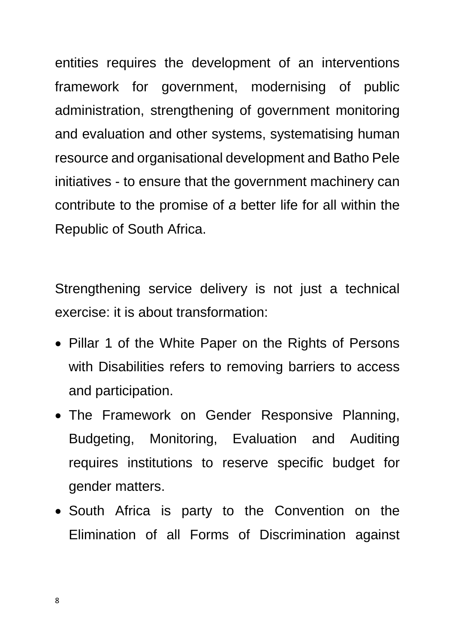entities requires the development of an interventions framework for government, modernising of public administration, strengthening of government monitoring and evaluation and other systems, systematising human resource and organisational development and Batho Pele initiatives - to ensure that the government machinery can contribute to the promise of *a* better life for all within the Republic of South Africa.

Strengthening service delivery is not just a technical exercise: it is about transformation:

- Pillar 1 of the White Paper on the Rights of Persons with Disabilities refers to removing barriers to access and participation.
- The Framework on Gender Responsive Planning, Budgeting, Monitoring, Evaluation and Auditing requires institutions to reserve specific budget for gender matters.
- South Africa is party to the Convention on the Elimination of all Forms of Discrimination against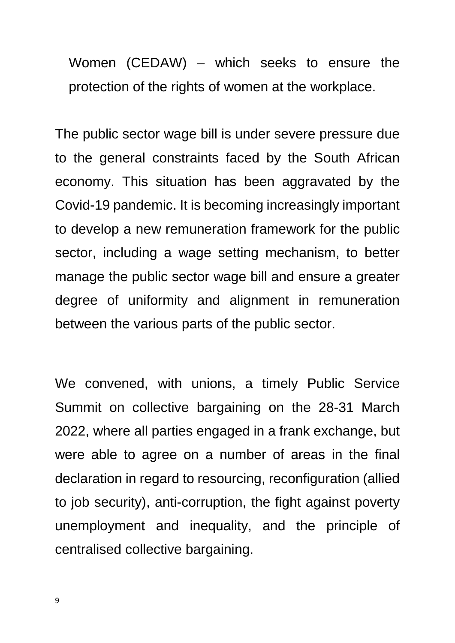Women (CEDAW) – which seeks to ensure the protection of the rights of women at the workplace.

The public sector wage bill is under severe pressure due to the general constraints faced by the South African economy. This situation has been aggravated by the Covid-19 pandemic. It is becoming increasingly important to develop a new remuneration framework for the public sector, including a wage setting mechanism, to better manage the public sector wage bill and ensure a greater degree of uniformity and alignment in remuneration between the various parts of the public sector.

We convened, with unions, a timely Public Service Summit on collective bargaining on the 28-31 March 2022, where all parties engaged in a frank exchange, but were able to agree on a number of areas in the final declaration in regard to resourcing, reconfiguration (allied to job security), anti-corruption, the fight against poverty unemployment and inequality, and the principle of centralised collective bargaining.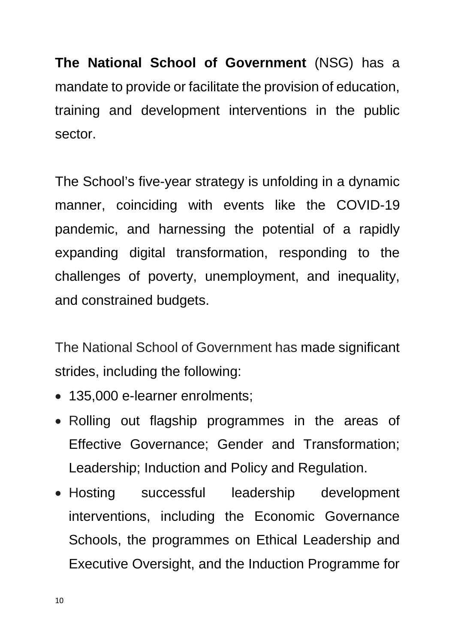**The National School of Government** (NSG) has a mandate to provide or facilitate the provision of education, training and development interventions in the public sector.

The School's five-year strategy is unfolding in a dynamic manner, coinciding with events like the COVID-19 pandemic, and harnessing the potential of a rapidly expanding digital transformation, responding to the challenges of poverty, unemployment, and inequality, and constrained budgets.

The National School of Government has made significant strides, including the following:

- 135,000 e-learner enrolments;
- Rolling out flagship programmes in the areas of Effective Governance; Gender and Transformation; Leadership; Induction and Policy and Regulation.
- Hosting successful leadership development interventions, including the Economic Governance Schools, the programmes on Ethical Leadership and Executive Oversight, and the Induction Programme for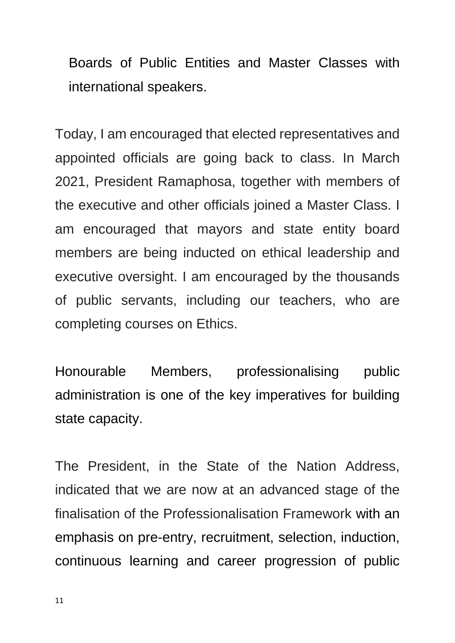Boards of Public Entities and Master Classes with international speakers.

Today, I am encouraged that elected representatives and appointed officials are going back to class. In March 2021, President Ramaphosa, together with members of the executive and other officials joined a Master Class. I am encouraged that mayors and state entity board members are being inducted on ethical leadership and executive oversight. I am encouraged by the thousands of public servants, including our teachers, who are completing courses on Ethics.

Honourable Members, professionalising public administration is one of the key imperatives for building state capacity.

The President, in the State of the Nation Address, indicated that we are now at an advanced stage of the finalisation of the Professionalisation Framework with an emphasis on pre-entry, recruitment, selection, induction, continuous learning and career progression of public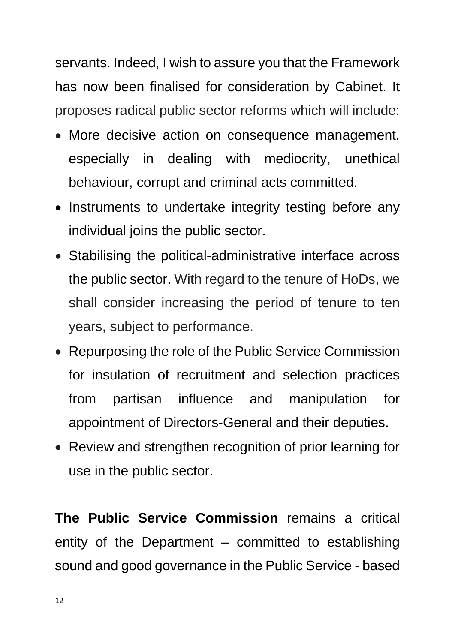servants. Indeed, I wish to assure you that the Framework has now been finalised for consideration by Cabinet. It proposes radical public sector reforms which will include:

- More decisive action on consequence management, especially in dealing with mediocrity, unethical behaviour, corrupt and criminal acts committed.
- Instruments to undertake integrity testing before any individual joins the public sector.
- Stabilising the political-administrative interface across the public sector. With regard to the tenure of HoDs, we shall consider increasing the period of tenure to ten years, subject to performance.
- Repurposing the role of the Public Service Commission for insulation of recruitment and selection practices from partisan influence and manipulation for appointment of Directors-General and their deputies.
- Review and strengthen recognition of prior learning for use in the public sector.

**The Public Service Commission** remains a critical entity of the Department – committed to establishing sound and good governance in the Public Service - based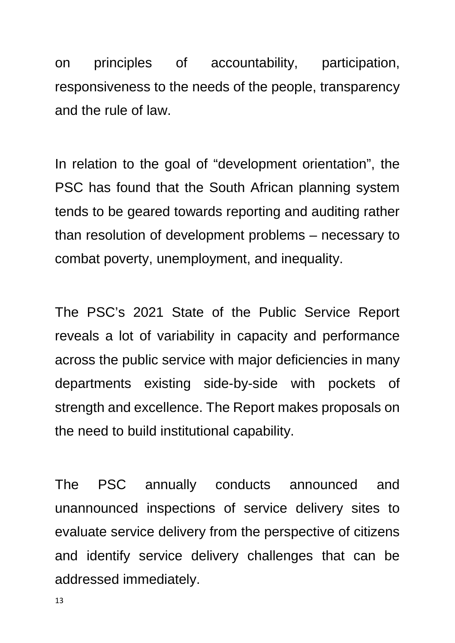on principles of accountability, participation, responsiveness to the needs of the people, transparency and the rule of law.

In relation to the goal of "development orientation", the PSC has found that the South African planning system tends to be geared towards reporting and auditing rather than resolution of development problems – necessary to combat poverty, unemployment, and inequality.

The PSC's 2021 State of the Public Service Report reveals a lot of variability in capacity and performance across the public service with major deficiencies in many departments existing side-by-side with pockets of strength and excellence. The Report makes proposals on the need to build institutional capability.

The PSC annually conducts announced and unannounced inspections of service delivery sites to evaluate service delivery from the perspective of citizens and identify service delivery challenges that can be addressed immediately.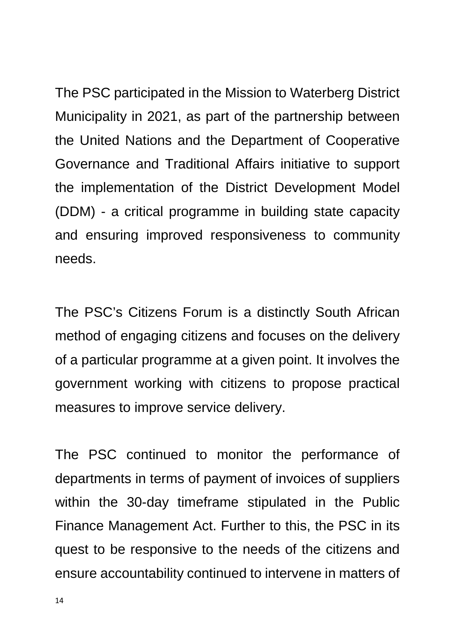The PSC participated in the Mission to Waterberg District Municipality in 2021, as part of the partnership between the United Nations and the Department of Cooperative Governance and Traditional Affairs initiative to support the implementation of the District Development Model (DDM) - a critical programme in building state capacity and ensuring improved responsiveness to community needs.

The PSC's Citizens Forum is a distinctly South African method of engaging citizens and focuses on the delivery of a particular programme at a given point. It involves the government working with citizens to propose practical measures to improve service delivery.

The PSC continued to monitor the performance of departments in terms of payment of invoices of suppliers within the 30-day timeframe stipulated in the Public Finance Management Act. Further to this, the PSC in its quest to be responsive to the needs of the citizens and ensure accountability continued to intervene in matters of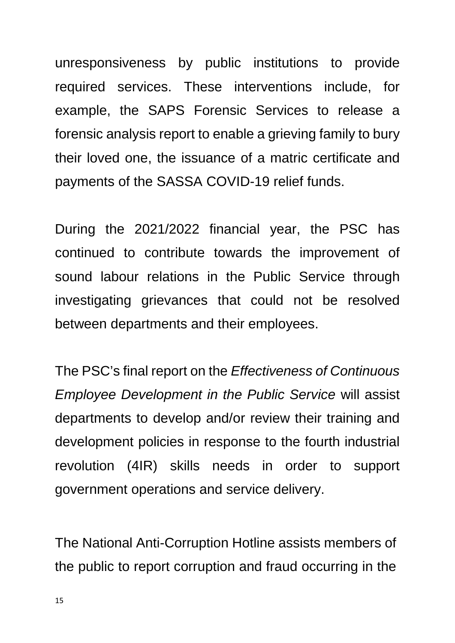unresponsiveness by public institutions to provide required services. These interventions include, for example, the SAPS Forensic Services to release a forensic analysis report to enable a grieving family to bury their loved one, the issuance of a matric certificate and payments of the SASSA COVID-19 relief funds.

During the 2021/2022 financial year, the PSC has continued to contribute towards the improvement of sound labour relations in the Public Service through investigating grievances that could not be resolved between departments and their employees.

The PSC's final report on the *Effectiveness of Continuous Employee Development in the Public Service* will assist departments to develop and/or review their training and development policies in response to the fourth industrial revolution (4IR) skills needs in order to support government operations and service delivery.

The National Anti-Corruption Hotline assists members of the public to report corruption and fraud occurring in the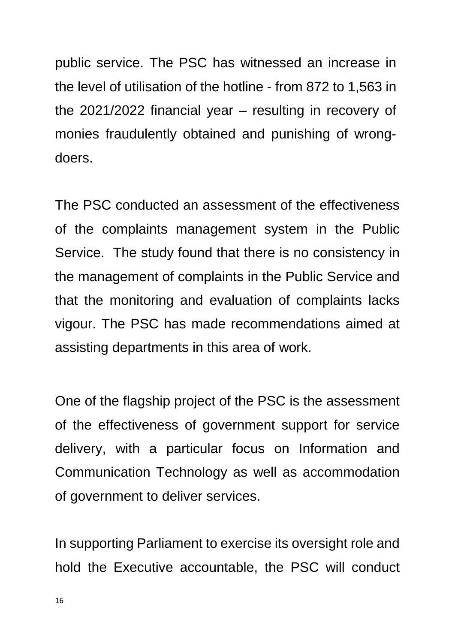public service. The PSC has witnessed an increase in the level of utilisation of the hotline - from 872 to 1,563 in the 2021/2022 financial year – resulting in recovery of monies fraudulently obtained and punishing of wrongdoers.

The PSC conducted an assessment of the effectiveness of the complaints management system in the Public Service. The study found that there is no consistency in the management of complaints in the Public Service and that the monitoring and evaluation of complaints lacks vigour. The PSC has made recommendations aimed at assisting departments in this area of work.

One of the flagship project of the PSC is the assessment of the effectiveness of government support for service delivery, with a particular focus on Information and Communication Technology as well as accommodation of government to deliver services.

In supporting Parliament to exercise its oversight role and hold the Executive accountable, the PSC will conduct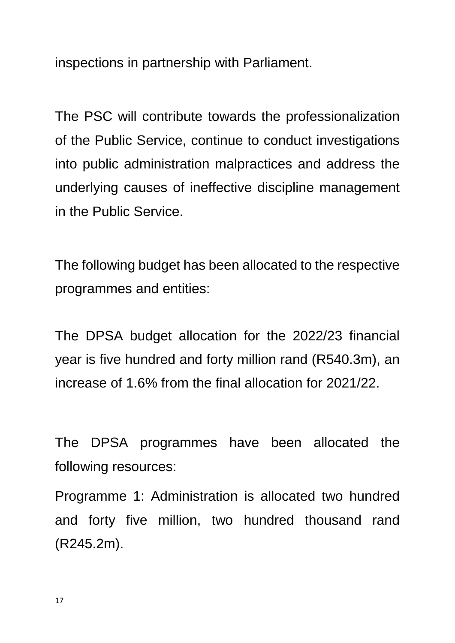inspections in partnership with Parliament.

The PSC will contribute towards the professionalization of the Public Service, continue to conduct investigations into public administration malpractices and address the underlying causes of ineffective discipline management in the Public Service.

The following budget has been allocated to the respective programmes and entities:

The DPSA budget allocation for the 2022/23 financial year is five hundred and forty million rand (R540.3m), an increase of 1.6% from the final allocation for 2021/22.

The DPSA programmes have been allocated the following resources:

Programme 1: Administration is allocated two hundred and forty five million, two hundred thousand rand (R245.2m).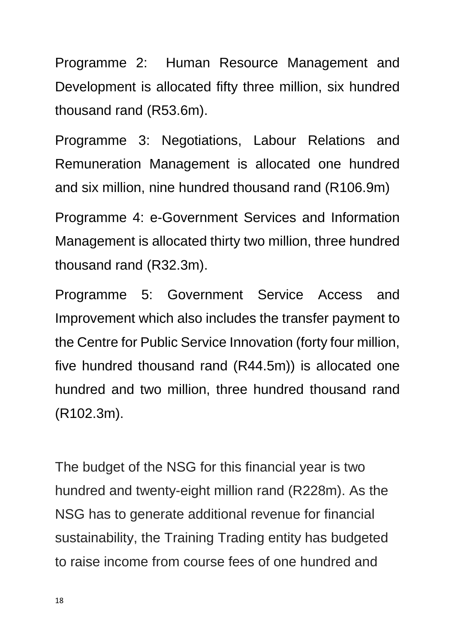Programme 2: Human Resource Management and Development is allocated fifty three million, six hundred thousand rand (R53.6m).

Programme 3: Negotiations, Labour Relations and Remuneration Management is allocated one hundred and six million, nine hundred thousand rand (R106.9m)

Programme 4: e-Government Services and Information Management is allocated thirty two million, three hundred thousand rand (R32.3m).

Programme 5: Government Service Access and Improvement which also includes the transfer payment to the Centre for Public Service Innovation (forty four million, five hundred thousand rand (R44.5m)) is allocated one hundred and two million, three hundred thousand rand (R102.3m).

The budget of the NSG for this financial year is two hundred and twenty-eight million rand (R228m). As the NSG has to generate additional revenue for financial sustainability, the Training Trading entity has budgeted to raise income from course fees of one hundred and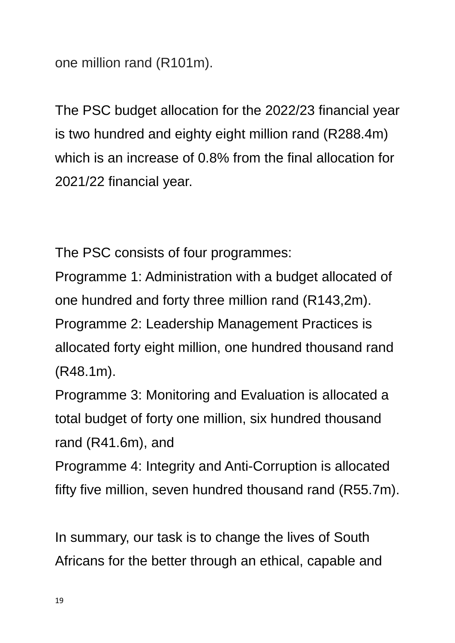one million rand (R101m).

The PSC budget allocation for the 2022/23 financial year is two hundred and eighty eight million rand (R288.4m) which is an increase of 0.8% from the final allocation for 2021/22 financial year.

The PSC consists of four programmes:

Programme 1: Administration with a budget allocated of one hundred and forty three million rand (R143,2m). Programme 2: Leadership Management Practices is allocated forty eight million, one hundred thousand rand (R48.1m).

Programme 3: Monitoring and Evaluation is allocated a total budget of forty one million, six hundred thousand rand (R41.6m), and

Programme 4: Integrity and Anti-Corruption is allocated fifty five million, seven hundred thousand rand (R55.7m).

In summary, our task is to change the lives of South Africans for the better through an ethical, capable and